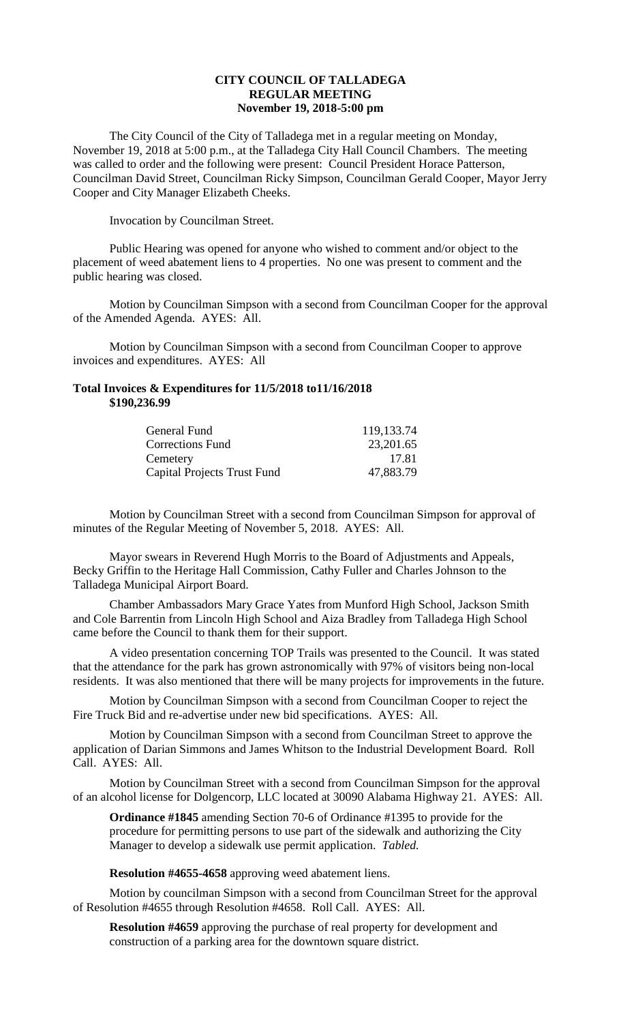## **CITY COUNCIL OF TALLADEGA REGULAR MEETING November 19, 2018-5:00 pm**

The City Council of the City of Talladega met in a regular meeting on Monday, November 19, 2018 at 5:00 p.m., at the Talladega City Hall Council Chambers. The meeting was called to order and the following were present: Council President Horace Patterson, Councilman David Street, Councilman Ricky Simpson, Councilman Gerald Cooper, Mayor Jerry Cooper and City Manager Elizabeth Cheeks.

Invocation by Councilman Street.

Public Hearing was opened for anyone who wished to comment and/or object to the placement of weed abatement liens to 4 properties. No one was present to comment and the public hearing was closed.

Motion by Councilman Simpson with a second from Councilman Cooper for the approval of the Amended Agenda. AYES: All.

Motion by Councilman Simpson with a second from Councilman Cooper to approve invoices and expenditures. AYES: All

## **Total Invoices & Expenditures for 11/5/2018 to11/16/2018 \$190,236.99**

| General Fund                       | 119,133.74 |
|------------------------------------|------------|
| <b>Corrections Fund</b>            | 23,201.65  |
| Cemetery                           | 17.81      |
| <b>Capital Projects Trust Fund</b> | 47,883.79  |

Motion by Councilman Street with a second from Councilman Simpson for approval of minutes of the Regular Meeting of November 5, 2018. AYES: All.

Mayor swears in Reverend Hugh Morris to the Board of Adjustments and Appeals, Becky Griffin to the Heritage Hall Commission, Cathy Fuller and Charles Johnson to the Talladega Municipal Airport Board.

Chamber Ambassadors Mary Grace Yates from Munford High School, Jackson Smith and Cole Barrentin from Lincoln High School and Aiza Bradley from Talladega High School came before the Council to thank them for their support.

A video presentation concerning TOP Trails was presented to the Council. It was stated that the attendance for the park has grown astronomically with 97% of visitors being non-local residents. It was also mentioned that there will be many projects for improvements in the future.

Motion by Councilman Simpson with a second from Councilman Cooper to reject the Fire Truck Bid and re-advertise under new bid specifications. AYES: All.

Motion by Councilman Simpson with a second from Councilman Street to approve the application of Darian Simmons and James Whitson to the Industrial Development Board. Roll Call. AYES: All.

Motion by Councilman Street with a second from Councilman Simpson for the approval of an alcohol license for Dolgencorp, LLC located at 30090 Alabama Highway 21. AYES: All.

**Ordinance #1845** amending Section 70-6 of Ordinance #1395 to provide for the procedure for permitting persons to use part of the sidewalk and authorizing the City Manager to develop a sidewalk use permit application. *Tabled.*

**Resolution #4655-4658** approving weed abatement liens.

Motion by councilman Simpson with a second from Councilman Street for the approval of Resolution #4655 through Resolution #4658. Roll Call. AYES: All.

**Resolution #4659** approving the purchase of real property for development and construction of a parking area for the downtown square district.